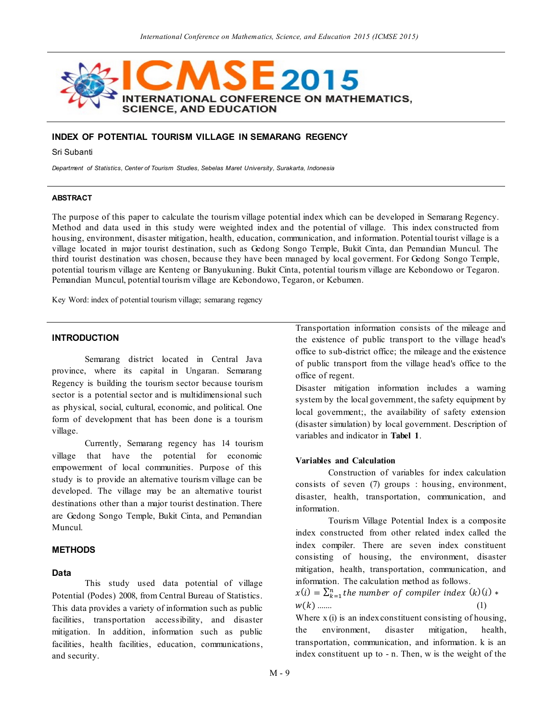

## **INDEX OF POTENTIAL TOURISM VILLAGE IN SEMARANG REGENCY**

Sri Subanti

*Department of Statistics, Center of Tourism Studies, Sebelas Maret University, Surakarta, Indonesia*

### **ABSTRACT**

The purpose of this paper to calculate the tourism village potential index which can be developed in Semarang Regency. Method and data used in this study were weighted index and the potential of village. This index constructed from housing, environment, disaster mitigation, health, education, communication, and information. Potential tourist village is a village located in major tourist destination, such as Gedong Songo Temple, Bukit Cinta, dan Pemandian Muncul. The third tourist destination was chosen, because they have been managed by local goverment. For Gedong Songo Temple, potential tourism village are Kenteng or Banyukuning. Bukit Cinta, potential tourism village are Kebondowo or Tegaron. Pemandian Muncul, potential tourism village are Kebondowo, Tegaron, or Kebumen.

Key Word: index of potential tourism village; semarang regency

## **INTRODUCTION**

Semarang district located in Central Java province, where its capital in Ungaran. Semarang Regency is building the tourism sector because tourism sector is a potential sector and is multidimensional such as physical, social, cultural, economic, and political. One form of development that has been done is a tourism village.

Currently, Semarang regency has 14 tourism village that have the potential for economic empowerment of local communities. Purpose of this study is to provide an alternative tourism village can be developed. The village may be an alternative tourist destinations other than a major tourist destination. There are Gedong Songo Temple, Bukit Cinta, and Pemandian Muncul.

## **METHODS**

#### **Data**

This study used data potential of village Potential (Podes) 2008, from Central Bureau of Statistics. This data provides a variety of information such as public facilities, transportation accessibility, and disaster mitigation. In addition, information such as public facilities, health facilities, education, communications, and security.

Transportation information consists of the mileage and the existence of public transport to the village head's office to sub-district office; the mileage and the existence of public transport from the village head's office to the office of regent.

Disaster mitigation information includes a warning system by the local government, the safety equipment by local government;, the availability of safety extension (disaster simulation) by local government. Description of variables and indicator in **Tabel 1**.

## **Variables and Calculation**

Construction of variables for index calculation consists of seven (7) groups : housing, environment, disaster, health, transportation, communication, and information.

Tourism Village Potential Index is a composite index constructed from other related index called the index compiler. There are seven index constituent consisting of housing, the environment, disaster mitigation, health, transportation, communication, and information. The calculation method as follows.

 $x(i) = \sum_{k=1}^{n}$  the number of compiler index  $(k)(i)$  \*  $w(k)$  ........ (1)

Where x (i) is an index constituent consisting of housing, the environment, disaster mitigation, health, transportation, communication, and information. k is an index constituent up to - n. Then, w is the weight of the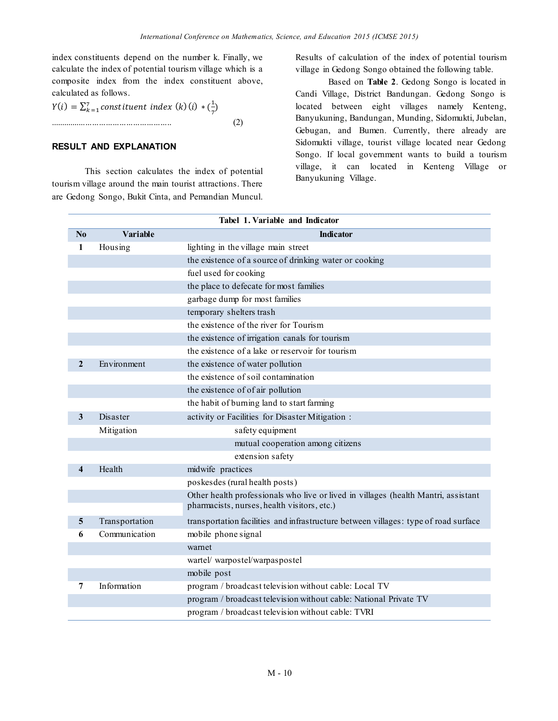index constituents depend on the number k. Finally, we calculate the index of potential tourism village which is a composite index from the index constituent above, calculated as follows.

 $Y(i) = \sum_{k=1}^{7}$ constituent index (k)(i) \* ( $\frac{1}{7}$  $\int_{k=1}^{7}$  constituent index (k) (i)  $\ast$  ( $\frac{1}{7}$ ) ...................................................... (2)

# **RESULT AND EXPLANATION**

This section calculates the index of potential tourism village around the main tourist attractions. There are Gedong Songo, Bukit Cinta, and Pemandian Muncul.

Results of calculation of the index of potential tourism village in Gedong Songo obtained the following table.

Based on **Table 2**. Gedong Songo is located in Candi Village, District Bandungan. Gedong Songo is located between eight villages namely Kenteng, Banyukuning, Bandungan, Munding, Sidomukti, Jubelan, Gebugan, and Bumen. Currently, there already are Sidomukti village, tourist village located near Gedong Songo. If local government wants to build a tourism village, it can located in Kenteng Village or Banyukuning Village.

|                         | Tabel 1. Variable and Indicator |                                                                                     |  |  |  |
|-------------------------|---------------------------------|-------------------------------------------------------------------------------------|--|--|--|
| $\mathbf{N}\mathbf{0}$  | Variable                        | <b>Indicator</b>                                                                    |  |  |  |
| 1                       | Housing                         | lighting in the village main street                                                 |  |  |  |
|                         |                                 | the existence of a source of drinking water or cooking                              |  |  |  |
|                         |                                 | fuel used for cooking                                                               |  |  |  |
|                         |                                 | the place to defecate for most families                                             |  |  |  |
|                         |                                 | garbage dump for most families                                                      |  |  |  |
|                         |                                 | temporary shelters trash                                                            |  |  |  |
|                         |                                 | the existence of the river for Tourism                                              |  |  |  |
|                         |                                 | the existence of irrigation canals for tourism                                      |  |  |  |
|                         |                                 | the existence of a lake or reservoir for tourism                                    |  |  |  |
| $\mathbf{2}$            | Environment                     | the existence of water pollution                                                    |  |  |  |
|                         |                                 | the existence of soil contamination                                                 |  |  |  |
|                         |                                 | the existence of of air pollution                                                   |  |  |  |
|                         |                                 | the habit of burning land to start farming                                          |  |  |  |
| 3                       | Disaster                        | activity or Facilities for Disaster Mitigation :                                    |  |  |  |
|                         | Mitigation                      | safety equipment                                                                    |  |  |  |
|                         |                                 | mutual cooperation among citizens                                                   |  |  |  |
|                         |                                 | extension safety                                                                    |  |  |  |
| $\overline{\mathbf{4}}$ | Health                          | midwife practices                                                                   |  |  |  |
|                         |                                 | poskesdes (rural health posts)                                                      |  |  |  |
|                         |                                 | Other health professionals who live or lived in villages (health Mantri, assistant  |  |  |  |
|                         |                                 | pharmacists, nurses, health visitors, etc.)                                         |  |  |  |
| 5                       | Transportation                  | transportation facilities and infrastructure between villages: type of road surface |  |  |  |
| 6                       | Communication                   | mobile phone signal                                                                 |  |  |  |
|                         |                                 | warnet                                                                              |  |  |  |
|                         |                                 | wartel/warpostel/warpaspostel                                                       |  |  |  |
|                         |                                 | mobile post                                                                         |  |  |  |
| 7                       | Information                     | program / broadcast television without cable: Local TV                              |  |  |  |
|                         |                                 | program / broadcast television without cable: National Private TV                   |  |  |  |
|                         |                                 | program / broadcast television without cable: TVRI                                  |  |  |  |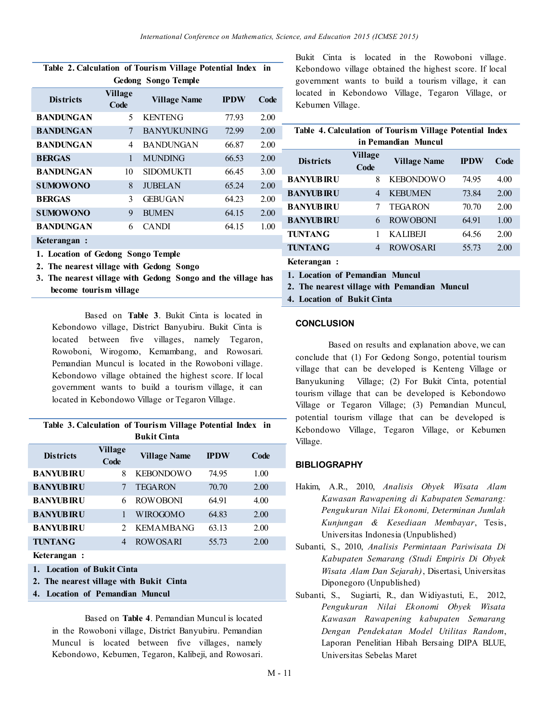| Tame 2. Caremation of Tourism vinage Foleman muck |                        |                     |             |      |  |  |
|---------------------------------------------------|------------------------|---------------------|-------------|------|--|--|
| <b>Gedong Songo Temple</b>                        |                        |                     |             |      |  |  |
| <b>Districts</b>                                  | <b>Village</b><br>Code | <b>Village Name</b> | <b>IPDW</b> | Code |  |  |
| <b>BANDUNGAN</b>                                  | 5                      | <b>KENTENG</b>      | 77.93       | 2.00 |  |  |
| <b>BANDUNGAN</b>                                  | 7                      | <b>BANYUKUNING</b>  | 72.99       | 2.00 |  |  |
| <b>BANDUNGAN</b>                                  | 4                      | <b>BANDUNGAN</b>    | 66.87       | 2.00 |  |  |
| <b>BERGAS</b>                                     | 1                      | <b>MUNDING</b>      | 66.53       | 2.00 |  |  |
| <b>BANDUNGAN</b>                                  | 10                     | <b>SIDOMUKTI</b>    | 66.45       | 3.00 |  |  |
| <b>SUMOWONO</b>                                   | 8                      | <b>JUBELAN</b>      | 65.24       | 2.00 |  |  |
| <b>BERGAS</b>                                     | 3                      | <b>GEBUGAN</b>      | 64.23       | 2.00 |  |  |
| <b>SUMOWONO</b>                                   | 9                      | <b>BUMEN</b>        | 64.15       | 2.00 |  |  |
| <b>BANDUNGAN</b>                                  | 6                      | <b>CANDI</b>        | 64.15       | 1.00 |  |  |
| Keterangan:                                       |                        |                     |             |      |  |  |

|                                   | Table 2. Calculation of Tourism Village Potential Index in |  |  |  |  |  |  |
|-----------------------------------|------------------------------------------------------------|--|--|--|--|--|--|
| $Cz$ dense $Cz$ and $Tz$ and $Tz$ |                                                            |  |  |  |  |  |  |

- **1. Location of Gedong Songo Temple**
- **2. The nearest village with Gedong Songo**
- **3. The nearest village with Gedong Songo and the village has become tourism village**

Based on **Table 3**. Bukit Cinta is located in Kebondowo village, District Banyubiru. Bukit Cinta is located between five villages, namely Tegaron, Rowoboni, Wirogomo, Kemambang, and Rowosari. Pemandian Muncul is located in the Rowoboni village. Kebondowo village obtained the highest score. If local government wants to build a tourism village, it can located in Kebondowo Village or Tegaron Village.

|                    |  |  | Table 3. Calculation of Tourism Village Potential Index in |  |  |
|--------------------|--|--|------------------------------------------------------------|--|--|
| <b>Bukit Cinta</b> |  |  |                                                            |  |  |

| <b>Districts</b> | Village<br>Code | <b>Village Name</b> | <b>IPDW</b> | Code |
|------------------|-----------------|---------------------|-------------|------|
| <b>BANYUBIRU</b> | 8               | <b>KEBONDOWO</b>    | 7495        | 1.00 |
| <b>BANYUBIRU</b> |                 | <b>TEGARON</b>      | 70.70       | 2.00 |
| <b>BANYUBIRU</b> |                 | <b>ROWOBONI</b>     | 6491        | 4.00 |
| <b>BANYUBIRU</b> |                 | WIROGOMO            | 64.83       | 2.00 |
| <b>BANYUBIRU</b> |                 | <b>KEMAMBANG</b>    | 63.13       | 2.00 |
| <b>TUNTANG</b>   | 4               | <b>ROWOSARI</b>     | 55.73       | 2.00 |
|                  |                 |                     |             |      |

**Keterangan :**

- **1. Location of Bukit Cinta**
- **2. The nearest village with Bukit Cinta**
- **4. Location of Pemandian Muncul**

Based on **Table 4**. Pemandian Muncul is located in the Rowoboni village, District Banyubiru. Pemandian Muncul is located between five villages, namely Kebondowo, Kebumen, Tegaron, Kalibeji, and Rowosari. Bukit Cinta is located in the Rowoboni village. Kebondowo village obtained the highest score. If local government wants to build a tourism village, it can located in Kebondowo Village, Tegaron Village, or Kebumen Village.

| Table 4. Calculation of Tourism Village Potential Index<br>in Pemandian Muncul |                 |                                 |             |      |  |  |
|--------------------------------------------------------------------------------|-----------------|---------------------------------|-------------|------|--|--|
| <b>Districts</b>                                                               | Village<br>Code | <b>Village Name</b>             | <b>IPDW</b> | Code |  |  |
| <b>BANYUBIRU</b>                                                               | 8               | <b>KEBONDOWO</b>                | 74.95       | 4.00 |  |  |
| <b>BANYUBIRU</b>                                                               | 4               | <b>KEBUMEN</b>                  | 73.84       | 2.00 |  |  |
| <b>BANYUBIRU</b>                                                               | 7               | <b>TEGARON</b>                  | 70.70       | 2.00 |  |  |
| <b>BANYUBIRU</b>                                                               | 6               | <b>ROWOBONI</b>                 | 64.91       | 1.00 |  |  |
| <b>TUNTANG</b>                                                                 | 1               | <b>KALIBEII</b>                 | 64.56       | 2.00 |  |  |
| <b>TUNTANG</b>                                                                 | 4               | <b>ROWOSARI</b>                 | 55.73       | 2.00 |  |  |
| Keterangan:                                                                    |                 |                                 |             |      |  |  |
| .<br>$\sim$ $\sim$                                                             | $\mathbf{v}$    | $\blacksquare$<br>$\sim$ $\sim$ |             |      |  |  |

**1. Location of Pemandian Muncul**

**2. The nearest village with Pemandian Muncul**

**4. Location of Bukit Cinta**

## **CONCLUSION**

Based on results and explanation above, we can conclude that (1) For Gedong Songo, potential tourism village that can be developed is Kenteng Village or Banyukuning Village; (2) For Bukit Cinta, potential tourism village that can be developed is Kebondowo Village or Tegaron Village; (3) Pemandian Muncul, potential tourism village that can be developed is Kebondowo Village, Tegaron Village, or Kebumen Village.

# **BIBLIOGRAPHY**

- Hakim, A.R., 2010, *Analisis Obyek Wisata Alam Kawasan Rawapening di Kabupaten Semarang: Pengukuran Nilai Ekonomi, Determinan Jumlah Kunjungan & Kesediaan Membayar*, Tesis, Universitas Indonesia (Unpublished)
- Subanti, S., 2010, *Analisis Permintaan Pariwisata Di Kabupaten Semarang (Studi Empiris Di Obyek Wisata Alam Dan Sejarah)*, Disertasi, Universitas Diponegoro (Unpublished)
- Subanti, S., Sugiarti, R., dan Widiyastuti, E., 2012, *Pengukuran Nilai Ekonomi Obyek Wisata Kawasan Rawapening kabupaten Semarang Dengan Pendekatan Model Utilitas Random*, Laporan Penelitian Hibah Bersaing DIPA BLUE, Universitas Sebelas Maret